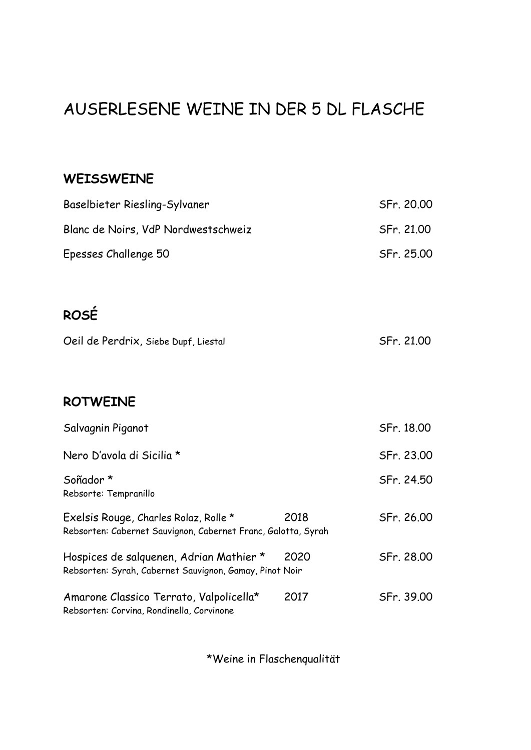# AUSERLESENE WEINE IN DER 5 DL FLASCHE

#### **WEISSWEINE**

|      | SFr. 20.00                                                                                                               |
|------|--------------------------------------------------------------------------------------------------------------------------|
|      | SFr. 21.00                                                                                                               |
|      | SFr. 25.00                                                                                                               |
|      |                                                                                                                          |
|      |                                                                                                                          |
|      | SFr. 21.00                                                                                                               |
|      |                                                                                                                          |
|      |                                                                                                                          |
|      | SFr. 18.00                                                                                                               |
|      | SFr. 23.00                                                                                                               |
|      | SFr. 24.50                                                                                                               |
| 2018 | SFr. 26.00                                                                                                               |
| 2020 | SFr. 28.00                                                                                                               |
| 2017 | SFr. 39.00                                                                                                               |
|      | Rebsorten: Cabernet Sauvignon, Cabernet Franc, Galotta, Syrah<br>Rebsorten: Syrah, Cabernet Sauvignon, Gamay, Pinot Noir |

\*Weine in Flaschenqualität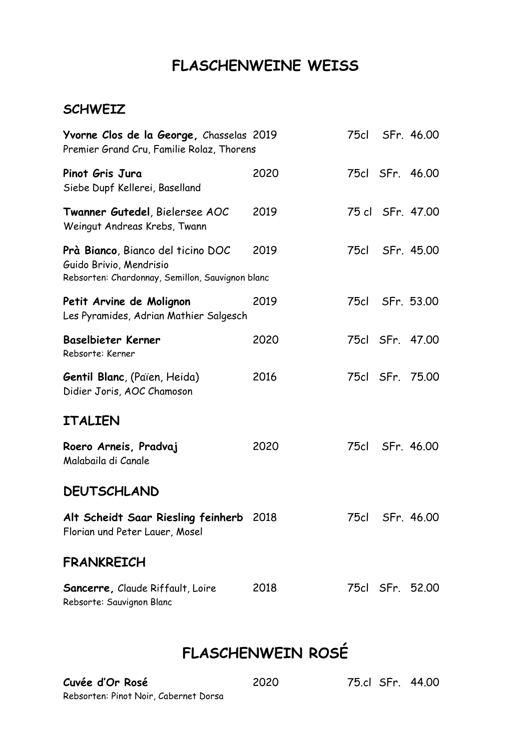## **FLASCHENWEINE WEISS**

#### **SCHWEIZ**

| Yvorne Clos de la George, Chasselas 2019<br>Premier Grand Cru, Familie Rolaz, Thorens                                   |      |      | 75cl SFr. 46.00  |
|-------------------------------------------------------------------------------------------------------------------------|------|------|------------------|
| Pinot Gris Jura<br>Siebe Dupf Kellerei, Baselland                                                                       | 2020 |      | 75cl SFr. 46.00  |
| Twanner Gutedel, Bielersee AOC<br>Weingut Andreas Krebs, Twann                                                          | 2019 |      | 75 cl SFr. 47.00 |
| <b>Prà Bianco, Bianco del ticino DOC</b><br>Guido Brivio, Mendrisio<br>Rebsorten: Chardonnay, Semillon, Sauvignon blanc | 2019 | 75cl | SFr. 45.00       |
| Petit Arvine de Molignon<br>Les Pyramides, Adrian Mathier Salgesch                                                      | 2019 |      | 75cl SFr. 53.00  |
| Baselbieter Kerner<br>Rebsorte: Kerner                                                                                  | 2020 |      | 75cl SFr. 47.00  |
| <b>Gentil Blanc, (Païen, Heida)</b><br>Didier Joris, AOC Chamoson                                                       | 2016 |      | 75cl SFr. 75.00  |
| <b>ITALIEN</b>                                                                                                          |      |      |                  |
| Roero Arneis, Pradvaj<br>Malabaila di Canale                                                                            | 2020 | 75cl | SFr. 46.00       |
| <b>DEUTSCHLAND</b>                                                                                                      |      |      |                  |
| Alt Scheidt Saar Riesling feinherb 2018<br>Florian und Peter Lauer, Mosel                                               |      | 75cl | SFr. 46.00       |
| <b>FRANKREICH</b>                                                                                                       |      |      |                  |
| <b>Sancerre, Claude Riffault, Loire</b><br>Rebsorte: Sauvignon Blanc                                                    | 2018 |      | 75cl SFr. 52.00  |

# **FLASCHENWEIN ROSÉ**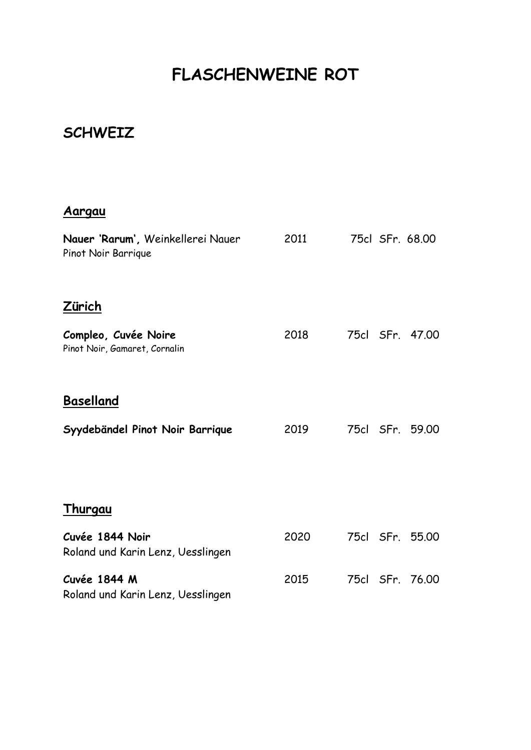# **FLASCHENWEINE ROT**

### **SCHWEIZ**

#### **Aargau**

| Nauer 'Rarum', Weinkellerei Nauer<br>Pinot Noir Barrique | 2011 | 75cl SFr. 68.00 |
|----------------------------------------------------------|------|-----------------|
| <u>Zürich</u>                                            |      |                 |
| Compleo, Cuvée Noire<br>Pinot Noir, Gamaret, Cornalin    | 2018 | 75cl SFr. 47.00 |
| <b>Baselland</b>                                         |      |                 |
| Syydebändel Pinot Noir Barrique                          | 2019 | 75cl SFr. 59.00 |
| <b>Thurgau</b>                                           |      |                 |
|                                                          |      |                 |
| Cuvée 1844 Noir<br>Roland und Karin Lenz, Uesslingen     | 2020 | 75cl SFr. 55.00 |
| Cuvée 1844 M<br>Roland und Karin Lenz, Uesslingen        | 2015 | 75cl SFr. 76.00 |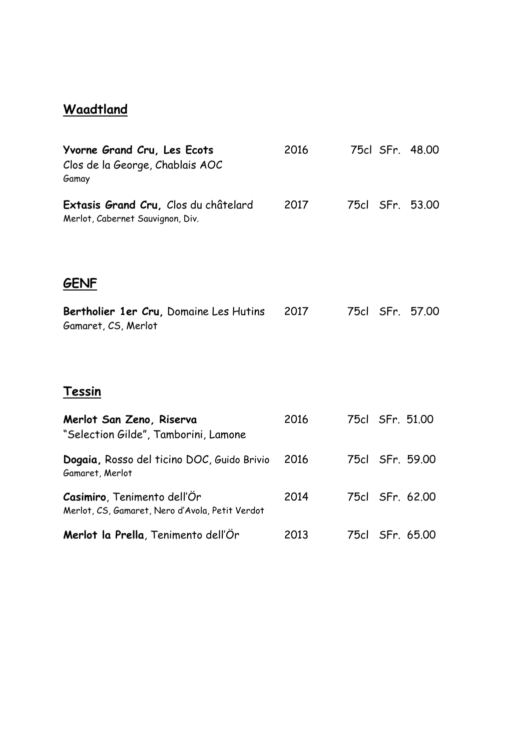### **Waadtland**

| Yvorne Grand Cru, Les Ecots<br>Clos de la George, Chablais AOC<br>Gamay        | 2016 |      | 75cl SFr. 48.00 |
|--------------------------------------------------------------------------------|------|------|-----------------|
| Extasis Grand Cru, Clos du châtelard<br>Merlot, Cabernet Sauvignon, Div.       | 2017 | 75cl | SFr. 53.00      |
| <b>GENF</b>                                                                    |      |      |                 |
| Bertholier 1er Cru, Domaine Les Hutins<br>Gamaret, CS, Merlot                  | 2017 | 75cl | SFr. 57.00      |
| Tessin                                                                         |      |      |                 |
| Merlot San Zeno, Riserva<br>"Selection Gilde", Tamborini, Lamone               | 2016 |      | 75cl SFr. 51.00 |
| Dogaia, Rosso del ticino DOC, Guido Brivio<br>Gamaret, Merlot                  | 2016 |      | 75cl SFr. 59.00 |
| Casimiro, Tenimento dell'Or<br>Merlot, CS, Gamaret, Nero d'Avola, Petit Verdot | 2014 |      | 75cl SFr. 62.00 |
| Merlot la Prella, Tenimento dell'Or                                            | 2013 |      | 75cl SFr. 65.00 |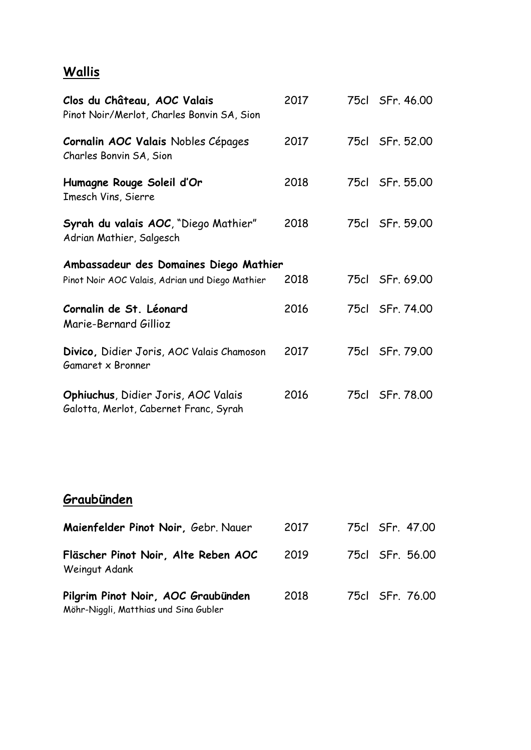### **Wallis**

| Clos du Château, AOC Valais<br>Pinot Noir/Merlot, Charles Bonvin SA, Sion            | 2017 | 75cl SFr. 46.00 |
|--------------------------------------------------------------------------------------|------|-----------------|
| Cornalin AOC Valais Nobles Cépages<br>Charles Bonvin SA, Sion                        | 2017 | 75cl SFr. 52.00 |
| Humagne Rouge Soleil d'Or<br>Imesch Vins, Sierre                                     | 2018 | 75cl SFr. 55.00 |
| Syrah du valais AOC, "Diego Mathier"<br>Adrian Mathier, Salgesch                     | 2018 | 75cl SFr. 59.00 |
| Ambassadeur des Domaines Diego Mathier                                               |      |                 |
| Pinot Noir AOC Valais, Adrian und Diego Mathier                                      | 2018 | 75cl SFr. 69.00 |
| Cornalin de St. Léonard<br>Marie-Bernard Gillioz                                     | 2016 | 75cl SFr. 74.00 |
| Divico, Didier Joris, AOC Valais Chamoson<br>Gamaret x Bronner                       | 2017 | 75cl SFr. 79.00 |
| <b>Ophiuchus, Didier Joris, AOC Valais</b><br>Galotta, Merlot, Cabernet Franc, Syrah | 2016 | 75cl SFr. 78.00 |
| Graubünden                                                                           |      |                 |
| Maienfelder Pinot Noir, Gebr. Nauer                                                  | 2017 | 75cl SFr. 47,00 |
| Fläscher Pinot Noir, Alte Reben AOC<br>Weingut Adank                                 | 2019 | 75cl SFr. 56.00 |
| Pilgrim Pinot Noir, AOC Graubünden                                                   | 2018 | 75cl SFr. 76.00 |

Möhr-Niggli, Matthias und Sina Gubler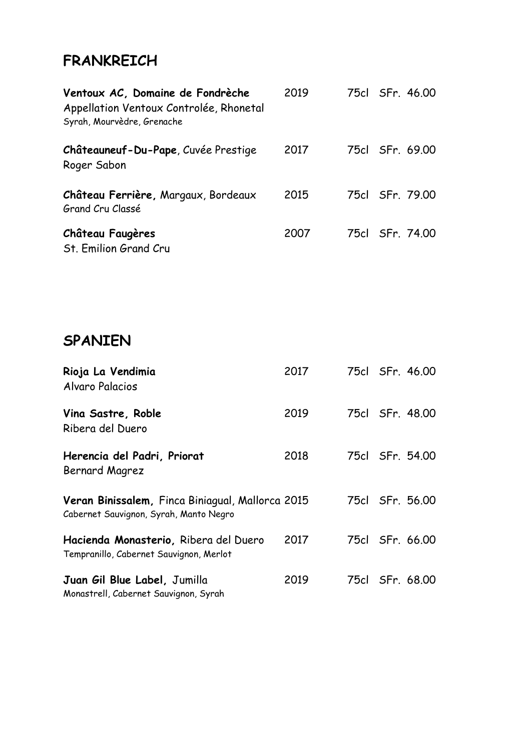## **FRANKREICH**

| Ventoux AC, Domaine de Fondrèche<br>Appellation Ventoux Controlée, Rhonetal<br>Syrah, Mourvèdre, Grenache | 2019 |  | 75cl SFr. 46.00 |
|-----------------------------------------------------------------------------------------------------------|------|--|-----------------|
| Châteauneuf-Du-Pape, Cuvée Prestige<br>Roger Sabon                                                        | 2017 |  | 75cl SFr. 69.00 |
| Château Ferrière, Margaux, Bordeaux<br>Grand Cru Classé                                                   | 2015 |  | 75cl SFr. 79.00 |
| <b>Château Faugères</b><br>St. Emilion Grand Cru                                                          | 2007 |  | 75cl SFr. 74.00 |
|                                                                                                           |      |  |                 |
| <b>SPANIEN</b>                                                                                            |      |  |                 |
| Rioja La Vendimia<br>Alvaro Palacios                                                                      | 2017 |  | 75cl SFr. 46.00 |
| Vina Sastre, Roble<br>Ribera del Duero                                                                    | 2019 |  | 75cl SFr. 48.00 |
| Herencia del Padri, Priorat<br><b>Bernard Magrez</b>                                                      | 2018 |  | 75cl SFr. 54.00 |
| Veran Binissalem, Finca Biniagual, Mallorca 2015<br>Cabernet Sauvignon, Syrah, Manto Negro                |      |  | 75cl SFr. 56.00 |
| Hacienda Monasterio, Ribera del Duero<br>Tempranillo, Cabernet Sauvignon, Merlot                          | 2017 |  | 75cl SFr. 66.00 |
| Juan Gil Blue Label, Jumilla<br>Monastrell, Cabernet Sauvignon, Syrah                                     | 2019 |  | 75cl SFr. 68.00 |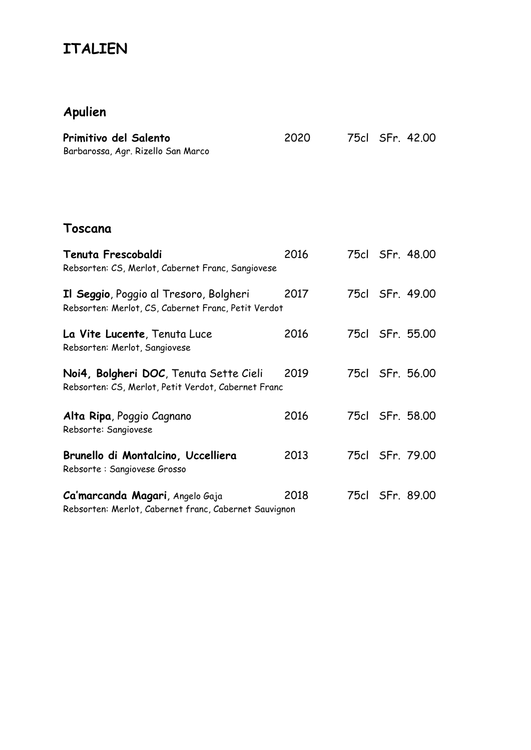# **ITALIEN**

## **Apulien**

| Primitivo del Salento<br>Barbarossa, Agr. Rizello San Marco                                   | 2020 |  | 75cl SFr. 42.00 |
|-----------------------------------------------------------------------------------------------|------|--|-----------------|
| Toscana                                                                                       |      |  |                 |
| Tenuta Frescobaldi<br>Rebsorten: CS, Merlot, Cabernet Franc, Sangiovese                       | 2016 |  | 75cl SFr. 48.00 |
| Il Seggio, Poggio al Tresoro, Bolgheri<br>Rebsorten: Merlot, CS, Cabernet Franc, Petit Verdot | 2017 |  | 75cl SFr. 49.00 |
| La Vite Lucente, Tenuta Luce<br>Rebsorten: Merlot, Sangiovese                                 | 2016 |  | 75cl SFr. 55.00 |
| Noi4, Bolgheri DOC, Tenuta Sette Cieli<br>Rebsorten: CS, Merlot, Petit Verdot, Cabernet Franc | 2019 |  | 75cl SFr. 56.00 |
| Alta Ripa, Poggio Cagnano<br>Rebsorte: Sangiovese                                             | 2016 |  | 75cl SFr. 58.00 |
| Brunello di Montalcino, Uccelliera<br>Rebsorte: Sangiovese Grosso                             | 2013 |  | 75cl SFr. 79.00 |
| Ca'marcanda Magari, Angelo Gaja<br>Rebsorten: Merlot, Cabernet franc, Cabernet Sauvignon      | 2018 |  | 75cl SFr. 89.00 |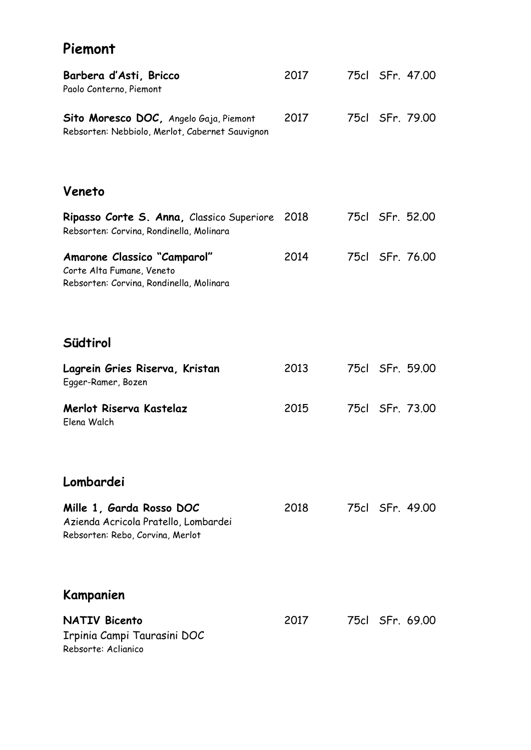## **Piemont**

| Barbera d'Asti, Bricco<br>Paolo Conterno, Piemont                                                    | 2017 | 75cl SFr. 47.00 |
|------------------------------------------------------------------------------------------------------|------|-----------------|
| Sito Moresco DOC, Angelo Gaja, Piemont<br>Rebsorten: Nebbiolo, Merlot, Cabernet Sauvignon            | 2017 | 75cl SFr. 79.00 |
| Veneto                                                                                               |      |                 |
| Ripasso Corte S. Anna, Classico Superiore<br>Rebsorten: Corvina, Rondinella, Molinara                | 2018 | 75cl SFr. 52.00 |
| Amarone Classico "Camparol"<br>Corte Alta Fumane, Veneto<br>Rebsorten: Corvina, Rondinella, Molinara | 2014 | 75cl SFr. 76.00 |
| Südtirol                                                                                             |      |                 |
| Lagrein Gries Riserva, Kristan<br>Egger-Ramer, Bozen                                                 | 2013 | 75cl SFr. 59.00 |
| Merlot Riserva Kastelaz<br>Elena Walch                                                               | 2015 | 75cl SFr. 73.00 |
| Lombardei                                                                                            |      |                 |
| Mille 1, Garda Rosso DOC<br>Azienda Acricola Pratello, Lombardei<br>Rebsorten: Rebo, Corvina, Merlot | 2018 | 75cl SFr. 49.00 |
| Kampanien                                                                                            |      |                 |
| <b>NATIV Bicento</b><br>Irpinia Campi Taurasini DOC<br>Rebsorte: Aclianico                           | 2017 | 75cl SFr. 69.00 |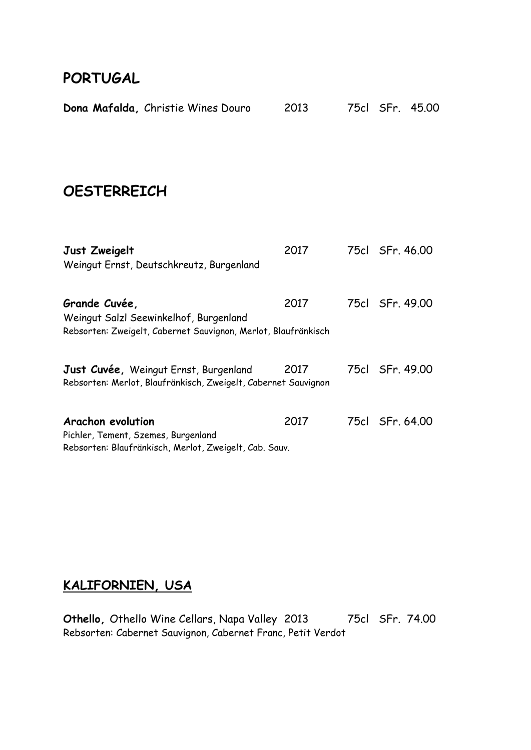#### **PORTUGAL**

| Dona Mafalda, Christie Wines Douro                                                                                        | 2013 |      | 75cl SFr. 45,00 |
|---------------------------------------------------------------------------------------------------------------------------|------|------|-----------------|
| <b>OESTERREICH</b>                                                                                                        |      |      |                 |
| Just Zweigelt<br>Weingut Ernst, Deutschkreutz, Burgenland                                                                 | 2017 |      | 75cl SFr. 46.00 |
| Grande Cuvée,<br>Weingut Salzl Seewinkelhof, Burgenland<br>Rebsorten: Zweigelt, Cabernet Sauvignon, Merlot, Blaufränkisch | 2017 |      | 75cl SFr. 49.00 |
| Just Cuvée, Weingut Ernst, Burgenland<br>Rebsorten: Merlot, Blaufränkisch, Zweigelt, Cabernet Sauvignon                   | 2017 |      | 75cl SFr. 49.00 |
| Arachon evolution<br>Pichler, Tement, Szemes, Burgenland<br>Rebsorten: Blaufränkisch, Merlot, Zweigelt, Cab. Sauv.        | 2017 | 75cl | SFr. 64.00      |

### **KALIFORNIEN, USA**

**Othello,** Othello Wine Cellars, Napa Valley 2013 75cl SFr. 74.00 Rebsorten: Cabernet Sauvignon, Cabernet Franc, Petit Verdot